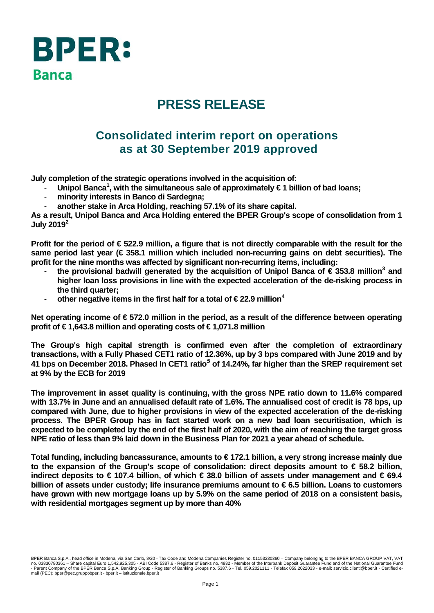

# **PRESS RELEASE**

# **Consolidated interim report on operations as at 30 September 2019 approved**

**July completion of the strategic operations involved in the acquisition of:**

- **Unipol Banca[1](#page-7-0) , with the simultaneous sale of approximately € 1 billion of bad loans;**
- **minority interests in Banco di Sardegna;**
- **another stake in Arca Holding, reaching 57.1% of its share capital.**

**As a result, Unipol Banca and Arca Holding entered the BPER Group's scope of consolidation from 1 July 2019[2](#page-7-1)**

**Profit for the period of € 522.9 million, a figure that is not directly comparable with the result for the same period last year (€ 358.1 million which included non-recurring gains on debt securities). The profit for the nine months was affected by significant non-recurring items, including:**

- **the provisional badwill generated by the acquisition of Unipol Banca of € 353.8 million[3](#page-7-2) and higher loan loss provisions in line with the expected acceleration of the de-risking process in the third quarter;**
- **other negative items in the first half for a total of € 22.9 million[4](#page-7-3)**

**Net operating income of € 572.0 million in the period, as a result of the difference between operating profit of € 1,643.8 million and operating costs of € 1,071.8 million**

**The Group's high capital strength is confirmed even after the completion of extraordinary transactions, with a Fully Phased CET1 ratio of 12.36%, up by 3 bps compared with June 2019 and by 41 bps on December 2018. Phased In CET1 ratio***[5](#page-7-4)* **of 14.24%, far higher than the SREP requirement set at 9% by the ECB for 2019**

**The improvement in asset quality is continuing, with the gross NPE ratio down to 11.6% compared with 13.7% in June and an annualised default rate of 1.6%. The annualised cost of credit is 78 bps, up compared with June, due to higher provisions in view of the expected acceleration of the de-risking process. The BPER Group has in fact started work on a new bad loan securitisation, which is expected to be completed by the end of the first half of 2020, with the aim of reaching the target gross NPE ratio of less than 9% laid down in the Business Plan for 2021 a year ahead of schedule.**

**Total funding, including bancassurance, amounts to € 172.1 billion, a very strong increase mainly due to the expansion of the Group's scope of consolidation: direct deposits amount to € 58.2 billion, indirect deposits to € 107.4 billion, of which € 38.0 billion of assets under management and € 69.4 billion of assets under custody; life insurance premiums amount to € 6.5 billion. Loans to customers have grown with new mortgage loans up by 5.9% on the same period of 2018 on a consistent basis, with residential mortgages segment up by more than 40%**

BPER Banca S.p.A., head office in Modena, via San Carlo, 8/20 - Tax Code and Modena Companies Register no. 01153230360 – Company belonging to the BPER BANCA GROUP VAT, VAT<br>no. 03830780361 – Share capital Euro 1,542,925,30 mail (PEC): bper@pec.gruppobper.it - bper.it – istituzionale.bper.it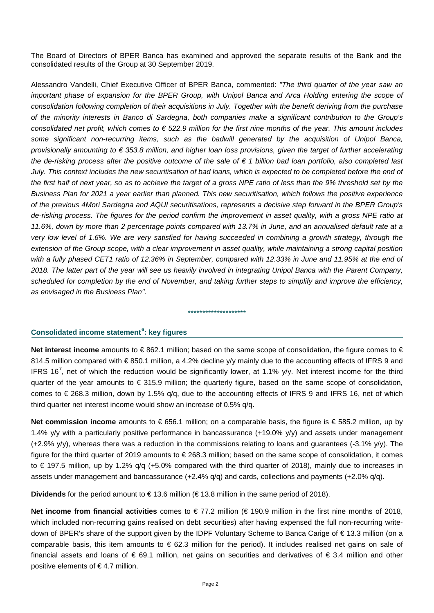The Board of Directors of BPER Banca has examined and approved the separate results of the Bank and the consolidated results of the Group at 30 September 2019.

Alessandro Vandelli, Chief Executive Officer of BPER Banca, commented: *"The third quarter of the year saw an important phase of expansion for the BPER Group, with Unipol Banca and Arca Holding entering the scope of consolidation following completion of their acquisitions in July. Together with the benefit deriving from the purchase of the minority interests in Banco di Sardegna, both companies make a significant contribution to the Group's consolidated net profit, which comes to € 522.9 million for the first nine months of the year. This amount includes some significant non-recurring items, such as the badwill generated by the acquisition of Unipol Banca, provisionally amounting to € 353.8 million, and higher loan loss provisions, given the target of further accelerating the de-risking process after the positive outcome of the sale of € 1 billion bad loan portfolio, also completed last July. This context includes the new securitisation of bad loans, which is expected to be completed before the end of the first half of next year, so as to achieve the target of a gross NPE ratio of less than the 9% threshold set by the Business Plan for 2021 a year earlier than planned. This new securitisation, which follows the positive experience of the previous 4Mori Sardegna and AQUI securitisations, represents a decisive step forward in the BPER Group's de-risking process. The figures for the period confirm the improvement in asset quality, with a gross NPE ratio at 11.6%, down by more than 2 percentage points compared with 13.7% in June, and an annualised default rate at a very low level of 1.6%. We are very satisfied for having succeeded in combining a growth strategy, through the extension of the Group scope, with a clear improvement in asset quality, while maintaining a strong capital position with a fully phased CET1 ratio of 12.36% in September, compared with 12.33% in June and 11.95% at the end of 2018. The latter part of the year will see us heavily involved in integrating Unipol Banca with the Parent Company, scheduled for completion by the end of November, and taking further steps to simplify and improve the efficiency, as envisaged in the Business Plan".*

### **Consolidated income statement[6](#page-7-5) : key figures**

**Net interest income** amounts to €862.1 million; based on the same scope of consolidation, the figure comes to € 814.5 million compared with € 850.1 million, a 4.2% decline y/y mainly due to the accounting effects of IFRS 9 and IFRS 16<sup>[7](#page-7-6)</sup>, net of which the reduction would be significantly lower, at 1.1% y/y. Net interest income for the third quarter of the year amounts to € 315.9 million; the quarterly figure, based on the same scope of consolidation, comes to € 268.3 million, down by 1.5% q/q, due to the accounting effects of IFRS 9 and IFRS 16, net of which third quarter net interest income would show an increase of 0.5% q/q.

\*\*\*\*\*\*\*\*\*\*\*\*\*\*\*\*\*\*\*\*

**Net commission income** amounts to € 656.1 million; on a comparable basis, the figure is € 585.2 million, up by 1.4% y/y with a particularly positive performance in bancassurance (+19.0% y/y) and assets under management (+2.9% y/y), whereas there was a reduction in the commissions relating to loans and guarantees (-3.1% y/y). The figure for the third quarter of 2019 amounts to € 268.3 million; based on the same scope of consolidation, it comes to € 197.5 million, up by 1.2% q/q (+5.0% compared with the third quarter of 2018), mainly due to increases in assets under management and bancassurance (+2.4% q/q) and cards, collections and payments (+2.0% q/q).

**Dividends** for the period amount to € 13.6 million (€ 13.8 million in the same period of 2018).

**Net income from financial activities** comes to € 77.2 million (€ 190.9 million in the first nine months of 2018, which included non-recurring gains realised on debt securities) after having expensed the full non-recurring writedown of BPER's share of the support given by the IDPF Voluntary Scheme to Banca Carige of € 13.3 million (on a comparable basis, this item amounts to  $\epsilon$  62.3 million for the period). It includes realised net gains on sale of financial assets and loans of  $\epsilon$  69.1 million, net gains on securities and derivatives of  $\epsilon$  3.4 million and other positive elements of  $\epsilon$ 4.7 million.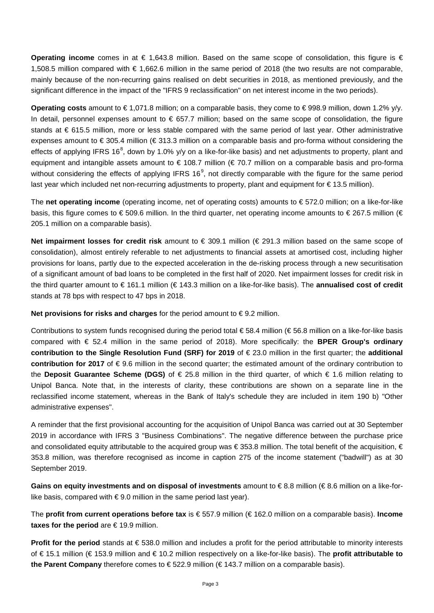**Operating income** comes in at € 1,643.8 million. Based on the same scope of consolidation, this figure is € 1,508.5 million compared with € 1,662.6 million in the same period of 2018 (the two results are not comparable, mainly because of the non-recurring gains realised on debt securities in 2018, as mentioned previously, and the significant difference in the impact of the "IFRS 9 reclassification" on net interest income in the two periods).

**Operating costs** amount to € 1,071.8 million; on a comparable basis, they come to € 998.9 million, down 1.2% y/y. In detail, personnel expenses amount to  $\epsilon$  657.7 million; based on the same scope of consolidation, the figure stands at € 615.5 million, more or less stable compared with the same period of last year. Other administrative expenses amount to € 305.4 million (€ 313.3 million on a comparable basis and pro-forma without considering the effects of applying IFRS 16<sup>[8](#page-7-7)</sup>, down by 1.0% y/y on a like-for-like basis) and net adjustments to property, plant and equipment and intangible assets amount to € 108.7 million (€ 70.7 million on a comparable basis and pro-forma without considering the effects of applying IFRS 16<sup>[9](#page-7-8)</sup>, not directly comparable with the figure for the same period last year which included net non-recurring adjustments to property, plant and equipment for € 13.5 million).

The **net operating income** (operating income, net of operating costs) amounts to € 572.0 million; on a like-for-like basis, this figure comes to € 509.6 million. In the third quarter, net operating income amounts to € 267.5 million (€ 205.1 million on a comparable basis).

**Net impairment losses for credit risk** amount to € 309.1 million (€ 291.3 million based on the same scope of consolidation), almost entirely referable to net adjustments to financial assets at amortised cost, including higher provisions for loans, partly due to the expected acceleration in the de-risking process through a new securitisation of a significant amount of bad loans to be completed in the first half of 2020. Net impairment losses for credit risk in the third quarter amount to € 161.1 million (€ 143.3 million on a like-for-like basis). The **annualised cost of credit** stands at 78 bps with respect to 47 bps in 2018.

**Net provisions for risks and charges** for the period amount to €9.2 million.

Contributions to system funds recognised during the period total  $\epsilon$ 58.4 million ( $\epsilon$ 56.8 million on a like-for-like basis compared with € 52.4 million in the same period of 2018). More specifically: the **BPER Group's ordinary contribution to the Single Resolution Fund (SRF) for 2019** of € 23.0 million in the first quarter; the **additional contribution for 2017** of € 9.6 million in the second quarter; the estimated amount of the ordinary contribution to the **Deposit Guarantee Scheme (DGS)** of € 25.8 million in the third quarter, of which € 1.6 million relating to Unipol Banca. Note that, in the interests of clarity, these contributions are shown on a separate line in the reclassified income statement, whereas in the Bank of Italy's schedule they are included in item 190 b) "Other administrative expenses".

A reminder that the first provisional accounting for the acquisition of Unipol Banca was carried out at 30 September 2019 in accordance with IFRS 3 "Business Combinations". The negative difference between the purchase price and consolidated equity attributable to the acquired group was €353.8 million. The total benefit of the acquisition, € 353.8 million, was therefore recognised as income in caption 275 of the income statement ("badwill") as at 30 September 2019.

**Gains on equity investments and on disposal of investments** amount to € 8.8 million (€ 8.6 million on a like-forlike basis, compared with  $\epsilon$  9.0 million in the same period last year).

The **profit from current operations before tax** is € 557.9 million (€ 162.0 million on a comparable basis). **Income taxes for the period** are € 19.9 million.

**Profit for the period** stands at € 538.0 million and includes a profit for the period attributable to minority interests of € 15.1 million (€ 153.9 million and € 10.2 million respectively on a like-for-like basis). The **profit attributable to the Parent Company** therefore comes to € 522.9 million (€ 143.7 million on a comparable basis).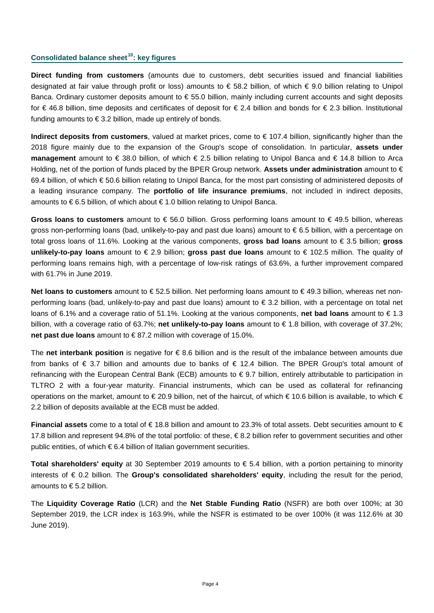### **Consolidated balance sheet[10:](#page-7-9) key figures**

**Direct funding from customers** (amounts due to customers, debt securities issued and financial liabilities designated at fair value through profit or loss) amounts to € 58.2 billion, of which € 9.0 billion relating to Unipol Banca. Ordinary customer deposits amount to € 55.0 billion, mainly including current accounts and sight deposits for € 46.8 billion, time deposits and certificates of deposit for € 2.4 billion and bonds for € 2.3 billion. Institutional funding amounts to  $\epsilon$  3.2 billion, made up entirely of bonds.

**Indirect deposits from customers**, valued at market prices, come to € 107.4 billion, significantly higher than the 2018 figure mainly due to the expansion of the Group's scope of consolidation. In particular, **assets under management** amount to € 38.0 billion, of which € 2.5 billion relating to Unipol Banca and € 14.8 billion to Arca Holding, net of the portion of funds placed by the BPER Group network. **Assets under administration** amount to € 69.4 billion, of which € 50.6 billion relating to Unipol Banca, for the most part consisting of administered deposits of a leading insurance company. The **portfolio of life insurance premiums**, not included in indirect deposits, amounts to € 6.5 billion, of which about € 1.0 billion relating to Unipol Banca.

**Gross loans to customers** amount to € 56.0 billion. Gross performing loans amount to € 49.5 billion, whereas gross non-performing loans (bad, unlikely-to-pay and past due loans) amount to € 6.5 billion, with a percentage on total gross loans of 11.6%. Looking at the various components, **gross bad loans** amount to € 3.5 billion; **gross unlikely-to-pay loans** amount to € 2.9 billion; **gross past due loans** amount to € 102.5 million. The quality of performing loans remains high, with a percentage of low-risk ratings of 63.6%, a further improvement compared with 61.7% in June 2019.

**Net loans to customers** amount to € 52.5 billion. Net performing loans amount to € 49.3 billion, whereas net nonperforming loans (bad, unlikely-to-pay and past due loans) amount to € 3.2 billion, with a percentage on total net loans of 6.1% and a coverage ratio of 51.1%. Looking at the various components, **net bad loans** amount to € 1.3 billion, with a coverage ratio of 63.7%; **net unlikely-to-pay loans** amount to € 1.8 billion, with coverage of 37.2%; **net past due loans** amount to € 87.2 million with coverage of 15.0%.

The **net interbank position** is negative for € 8.6 billion and is the result of the imbalance between amounts due from banks of € 3.7 billion and amounts due to banks of € 12.4 billion. The BPER Group's total amount of refinancing with the European Central Bank (ECB) amounts to € 9.7 billion, entirely attributable to participation in TLTRO 2 with a four-year maturity. Financial instruments, which can be used as collateral for refinancing operations on the market, amount to  $\in 20.9$  billion, net of the haircut, of which  $\in 10.6$  billion is available, to which  $\in$ 2.2 billion of deposits available at the ECB must be added.

**Financial assets** come to a total of € 18.8 billion and amount to 23.3% of total assets. Debt securities amount to € 17.8 billion and represent 94.8% of the total portfolio: of these, € 8.2 billion refer to government securities and other public entities, of which €6.4 billion of Italian government securities.

**Total shareholders' equity** at 30 September 2019 amounts to € 5.4 billion, with a portion pertaining to minority interests of € 0.2 billion. The **Group's consolidated shareholders' equity**, including the result for the period, amounts to  $\epsilon$  5.2 billion.

The **Liquidity Coverage Ratio** (LCR) and the **Net Stable Funding Ratio** (NSFR) are both over 100%; at 30 September 2019, the LCR index is 163.9%, while the NSFR is estimated to be over 100% (it was 112.6% at 30 June 2019).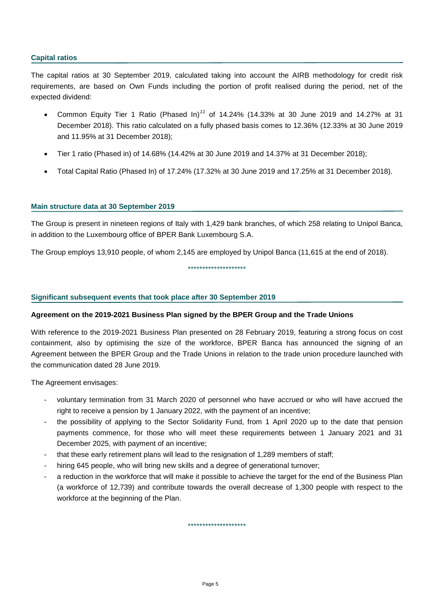### **Capital ratios**

The capital ratios at 30 September 2019, calculated taking into account the AIRB methodology for credit risk requirements, are based on Own Funds including the portion of profit realised during the period, net of the expected dividend:

- Common Equity Tier 1 Ratio (Phased In)*[11](#page-7-10)* of 14.24% (14.33% at 30 June 2019 and 14.27% at 31 December 2018). This ratio calculated on a fully phased basis comes to 12.36% (12.33% at 30 June 2019 and 11.95% at 31 December 2018);
- Tier 1 ratio (Phased in) of 14.68% (14.42% at 30 June 2019 and 14.37% at 31 December 2018);
- Total Capital Ratio (Phased In) of 17.24% (17.32% at 30 June 2019 and 17.25% at 31 December 2018).

### **Main structure data at 30 September 2019**

The Group is present in nineteen regions of Italy with 1,429 bank branches, of which 258 relating to Unipol Banca, in addition to the Luxembourg office of BPER Bank Luxembourg S.A.

\*\*\*\*\*\*\*\*\*\*\*\*\*\*\*\*\*\*\*\*

The Group employs 13,910 people, of whom 2,145 are employed by Unipol Banca (11,615 at the end of 2018).

### **Significant subsequent events that took place after 30 September 2019**

#### **Agreement on the 2019-2021 Business Plan signed by the BPER Group and the Trade Unions**

With reference to the 2019-2021 Business Plan presented on 28 February 2019, featuring a strong focus on cost containment, also by optimising the size of the workforce, BPER Banca has announced the signing of an Agreement between the BPER Group and the Trade Unions in relation to the trade union procedure launched with the communication dated 28 June 2019.

The Agreement envisages:

- voluntary termination from 31 March 2020 of personnel who have accrued or who will have accrued the right to receive a pension by 1 January 2022, with the payment of an incentive;
- the possibility of applying to the Sector Solidarity Fund, from 1 April 2020 up to the date that pension payments commence, for those who will meet these requirements between 1 January 2021 and 31 December 2025, with payment of an incentive;
- that these early retirement plans will lead to the resignation of 1,289 members of staff;
- hiring 645 people, who will bring new skills and a degree of generational turnover;
- a reduction in the workforce that will make it possible to achieve the target for the end of the Business Plan (a workforce of 12,739) and contribute towards the overall decrease of 1,300 people with respect to the workforce at the beginning of the Plan.

\*\*\*\*\*\*\*\*\*\*\*\*\*\*\*\*\*\*\*\*

Page 5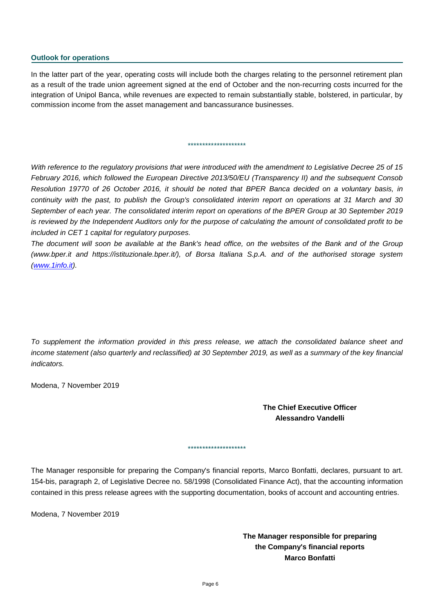#### **Outlook for operations**

In the latter part of the year, operating costs will include both the charges relating to the personnel retirement plan as a result of the trade union agreement signed at the end of October and the non-recurring costs incurred for the integration of Unipol Banca, while revenues are expected to remain substantially stable, bolstered, in particular, by commission income from the asset management and bancassurance businesses.

\*\*\*\*\*\*\*\*\*\*\*\*\*\*\*\*\*\*\*\*

*With reference to the regulatory provisions that were introduced with the amendment to Legislative Decree 25 of 15 February 2016, which followed the European Directive 2013/50/EU (Transparency II) and the subsequent Consob Resolution 19770 of 26 October 2016, it should be noted that BPER Banca decided on a voluntary basis, in continuity with the past, to publish the Group's consolidated interim report on operations at 31 March and 30 September of each year. The consolidated interim report on operations of the BPER Group at 30 September 2019 is reviewed by the Independent Auditors only for the purpose of calculating the amount of consolidated profit to be included in CET 1 capital for regulatory purposes.*

*The document will soon be available at the Bank's head office, on the websites of the Bank and of the Group (www.bper.it and https://istituzionale.bper.it/), of Borsa Italiana S.p.A. and of the authorised storage system [\(www.1info.it\)](http://www.1info.it/).*

*To supplement the information provided in this press release, we attach the consolidated balance sheet and income statement (also quarterly and reclassified) at 30 September 2019, as well as a summary of the key financial indicators.*

Modena, 7 November 2019

### **The Chief Executive Officer Alessandro Vandelli**

The Manager responsible for preparing the Company's financial reports, Marco Bonfatti, declares, pursuant to art. 154-bis, paragraph 2, of Legislative Decree no. 58/1998 (Consolidated Finance Act), that the accounting information contained in this press release agrees with the supporting documentation, books of account and accounting entries.

\*\*\*\*\*\*\*\*\*\*\*\*\*\*\*\*\*\*\*\*

Modena, 7 November 2019

**The Manager responsible for preparing the Company's financial reports Marco Bonfatti**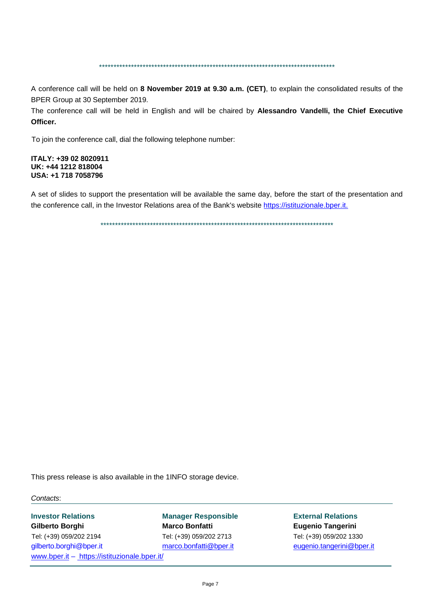\*\*\*\*\*\*\*\*\*\*\*\*\*\*\*\*\*\*\*\*\*\*\*\*\*\*\*\*\*\*\*\*\*\*\*\*\*\*\*\*\*\*\*\*\*\*\*\*\*\*\*\*\*\*\*\*\*\*\*\*\*\*\*\*\*\*\*\*\*\*\*\*\*\*\*\*\*\*\*\*\*

A conference call will be held on **8 November 2019 at 9.30 a.m. (CET)**, to explain the consolidated results of the BPER Group at 30 September 2019.

The conference call will be held in English and will be chaired by **Alessandro Vandelli, the Chief Executive Officer.**

To join the conference call, dial the following telephone number:

**ITALY: +39 02 8020911 UK: +44 1212 818004 USA: +1 718 7058796**

A set of slides to support the presentation will be available the same day, before the start of the presentation and the conference call, in the Investor Relations area of the Bank's website [https://istituzionale.bper.it.](https://istituzionale.bper.it/)

\*\*\*\*\*\*\*\*\*\*\*\*\*\*\*\*\*\*\*\*\*\*\*\*\*\*\*\*\*\*\*\*\*\*\*\*\*\*\*\*\*\*\*\*\*\*\*\*\*\*\*\*\*\*\*\*\*\*\*\*\*\*\*\*\*\*\*\*\*\*\*\*\*\*\*\*\*\*\*\*

This press release is also available in the 1INFO storage device.

*Contacts*:

**Investor Relations Manager Responsible External Relations Gilberto Borghi Marco Bonfatti Eugenio Tangerini** Tel: (+39) 059/202 2194 Tel: (+39) 059/202 2713 Tel: (+39) 059/202 1330 gilberto.borghi@bper.it [marco.bonfatti@bper.it](mailto:marco.bonfatti@bper.it) [eugenio.tangerini@bper.it](mailto:eugenio.tangerini@bper.it) [www.bper.it](http://www.bper.it/) – https://istituzionale.bper.it/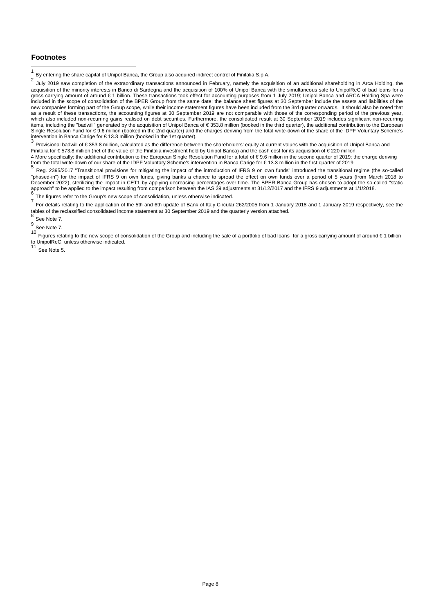### **Footnotes**

<span id="page-7-0"></span><sup>1</sup> By entering the share capital of Unipol Banca, the Group also acquired indirect control of Finitalia S.p.A.

<span id="page-7-1"></span>July 2019 saw completion of the extraordinary transactions announced in February, namely the acquisition of an additional shareholding in Arca Holding, the acquisition of the minority interests in Banco di Sardegna and the acquisition of 100% of Unipol Banca with the simultaneous sale to UnipolReC of bad loans for a gross carrying amount of around € 1 billion. These transactions took effect for accounting purposes from 1 July 2019; Unipol Banca and ARCA Holding Spa were included in the scope of consolidation of the BPER Group from the same date; the balance sheet figures at 30 September include the assets and liabilities of the new companies forming part of the Group scope, while their income statement figures have been included from the 3rd quarter onwards. It should also be noted that as a result of these transactions, the accounting figures at 30 September 2019 are not comparable with those of the corresponding period of the previous year, which also included non-recurring gains realised on debt securities. Furthermore, the consolidated result at 30 September 2019 includes significant non-recurring items, including the "badwill" generated by the acquisition of Unipol Banca of € 353.8 million (booked in the third quarter), the additional contribution to the European Single Resolution Fund for  $\epsilon$  9.6 million (booked in the 2nd quarter) and the charges deriving from the total write-down of the share of the IDPF Voluntary Scheme's intervention in Banca Carige for  $\epsilon$  13.3 million (bo

<span id="page-7-2"></span>Provisional badwill of €353.8 million, calculated as the difference between the shareholders' equity at current values with the acquisition of Unipol Banca and Finitalia for € 573.8 million (net of the value of the Finitalia investment held by Unipol Banca) and the cash cost for its acquisition of € 220 million. 4 More specifically: the additional contribution to the European Single Resolution Fund for a total of €9.6 million in the second quarter of 2019; the charge deriving from the total write-down of our share of the IDPF Vol

<span id="page-7-4"></span><span id="page-7-3"></span>Reg. 2395/2017 "Transitional provisions for mitigating the impact of the introduction of IFRS 9 on own funds" introduced the transitional regime (the so-called "phased-in") for the impact of IFRS 9 on own funds, giving banks a chance to spread the effect on own funds over a period of 5 years (from March 2018 to December 2022), sterilizing the impact in CET1 by applying decreasing percentages over time. The BPER Banca Group has chosen to adopt the so-called "static approach" to be applied to the impact resulting from comparison between the IAS 39 adjustments at 31/12/2017 and the IFRS 9 adjustments at 1/1/2018.<br><sup>6</sup> The figures refer to the Group's new scope of consolidation, unless o

<span id="page-7-6"></span><span id="page-7-5"></span>The agailog total is the strong to the application of the 5th and 6th update of Bank of Italy Circular 262/2005 from 1 January 2018 and 1 January 2019 respectively, see the<br>tables of the reclassified consolidated income st

<span id="page-7-9"></span><span id="page-7-8"></span>

<span id="page-7-7"></span><sup>8</sup> See Note 7.<br><sup>9</sup> See Note 7.<br><sup>10</sup> Figures relating to the new scope of consolidation of the Group and including the sale of a portfolio of bad loans for a gross carrying amount of around €1 billion  $t_{\text{total}}$  or  $t_{\text{total}}$  or  $t_{\text{total}}$  and  $t_{\text{total}}$  are indicated.<br>11  $\epsilon$ 

<span id="page-7-10"></span>See Note 5.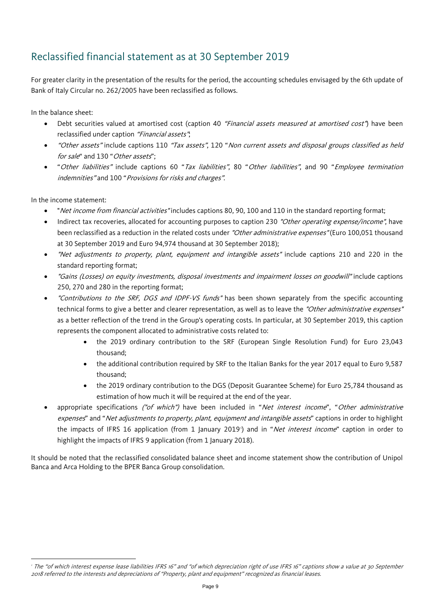## Reclassified financial statement as at 30 September 2019

For greater clarity in the presentation of the results for the period, the accounting schedules envisaged by the 6th update of Bank of Italy Circular no. 262/2005 have been reclassified as follows.

In the balance sheet:

- Debt securities valued at amortised cost (caption 40 "Financial assets measured at amortised cost") have been reclassified under caption "Financial assets";
- "Other assets" include captions 110 "Tax assets", 120 "Non current assets and disposal groups classified as held for sale" and 130 "Other assets";
- "Other liabilities" include captions 60 "Tax liabilities", 80 "Other liabilities", and 90 "Employee termination indemnities" and 100 "Provisions for risks and charges".

In the income statement:

 $\overline{a}$ 

- "Net income from financial activities" includes captions 80, 90, 100 and 110 in the standard reporting format;
- Indirect tax recoveries, allocated for accounting purposes to caption 230 "Other operating expense/income", have been reclassified as a reduction in the related costs under "Other administrative expenses" (Euro 100,051 thousand at 30 September 2019 and Euro 94,974 thousand at 30 September 2018);
- "Net adjustments to property, plant, equipment and intangible assets" include captions 210 and 220 in the standard reporting format;
- "Gains (Losses) on equity investments, disposal investments and impairment losses on goodwill" include captions 250, 270 and 280 in the reporting format;
- "Contributions to the SRF, DGS and IDPF-VS funds" has been shown separately from the specific accounting technical forms to give a better and clearer representation, as well as to leave the "Other administrative expenses" as a better reflection of the trend in the Group's operating costs. In particular, at 30 September 2019, this caption represents the component allocated to administrative costs related to:
	- the 2019 ordinary contribution to the SRF (European Single Resolution Fund) for Euro 23,043 thousand;
	- the additional contribution required by SRF to the Italian Banks for the year 2017 equal to Euro 9,587 thousand;
	- the 2019 ordinary contribution to the DGS (Deposit Guarantee Scheme) for Euro 25,784 thousand as estimation of how much it will be required at the end of the year.
- appropriate specifications ("of which") have been included in "Net interest income", "Other administrative expenses" and "Net adjustments to property, plant, equipment and intangible assets" captions in order to highlight the impacts of IFRS [1](#page-11-0)6 application (from 1 January 2019') and in "*Net interest income*" caption in order to highlight the impacts of IFRS 9 application (from 1 January 2018).

<span id="page-8-0"></span>It should be noted that the reclassified consolidated balance sheet and income statement show the contribution of Unipol Banca and Arca Holding to the BPER Banca Group consolidation.

<sup>&</sup>lt;sup>1</sup> The "of which interest expense lease liabilities IFRS 16" and "of which depreciation right of use IFRS 16" captions show a value at 30 September 2018 referred to the interests and depreciations of "Property, plant and equipment" recognized as financial leases.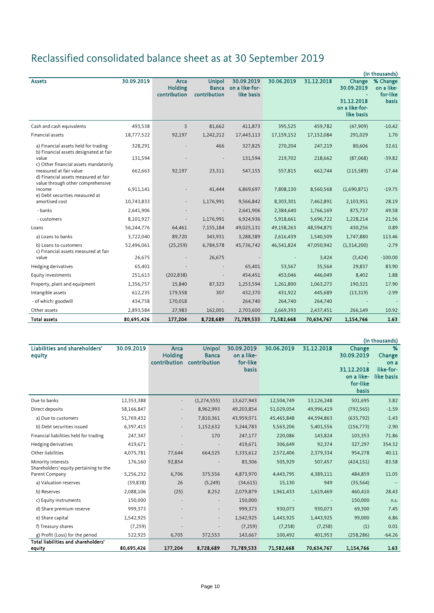# Reclassified consolidated balance sheet as at 30 September 2019

|                                                                                                     |            |                                        |                                               |                                            |            |            |                                                      | (in thousands)                                     |
|-----------------------------------------------------------------------------------------------------|------------|----------------------------------------|-----------------------------------------------|--------------------------------------------|------------|------------|------------------------------------------------------|----------------------------------------------------|
| <b>Assets</b>                                                                                       | 30.09.2019 | Arca<br><b>Holding</b><br>contribution | <b>Unipol</b><br><b>Banca</b><br>contribution | 30.09.2019<br>on a like-for-<br>like basis | 30.06.2019 | 31.12.2018 | Change<br>30.09.2019<br>31.12.2018<br>on a like-for- | % Change<br>on a like-<br>for-like<br><b>basis</b> |
|                                                                                                     |            |                                        |                                               |                                            |            |            | like basis                                           |                                                    |
| Cash and cash equivalents                                                                           | 493,538    | 3                                      | 81,662                                        | 411,873                                    | 395,525    | 459,782    | (47,909)                                             | $-10.42$                                           |
| Financial assets                                                                                    | 18,777,522 | 92,197                                 | 1,242,212                                     | 17,443,113                                 | 17,159,152 | 17,152,084 | 291,029                                              | 1.70                                               |
| a) Financial assets held for trading<br>b) Financial assets designated at fair                      | 328,291    |                                        | 466                                           | 327,825                                    | 270,204    | 247,219    | 80,606                                               | 32.61                                              |
| value<br>c) Other financial assets mandatorily                                                      | 131,594    |                                        |                                               | 131,594                                    | 219,702    | 218,662    | (87,068)                                             | $-39.82$                                           |
| measured at fair value<br>d) Financial assets measured at fair<br>value through other comprehensive | 662,663    | 92,197                                 | 23,311                                        | 547,155                                    | 557,815    | 662,744    | (115, 589)                                           | $-17.44$                                           |
| income<br>e) Debt securities measured at                                                            | 6,911,141  |                                        | 41,444                                        | 6,869,697                                  | 7,808,130  | 8,560,568  | (1,690,871)                                          | $-19.75$                                           |
| amortised cost                                                                                      | 10,743,833 | $\sim$                                 | 1,176,991                                     | 9,566,842                                  | 8,303,301  | 7,462,891  | 2,103,951                                            | 28.19                                              |
| - banks                                                                                             | 2,641,906  |                                        |                                               | 2,641,906                                  | 2,384,640  | 1,766,169  | 875,737                                              | 49.58                                              |
| - customers                                                                                         | 8,101,927  |                                        | 1,176,991                                     | 6,924,936                                  | 5,918,661  | 5,696,722  | 1,228,214                                            | 21.56                                              |
| Loans                                                                                               | 56,244,776 | 64,461                                 | 7,155,184                                     | 49,025,131                                 | 49,158,263 | 48,594,875 | 430,256                                              | 0.89                                               |
| a) Loans to banks                                                                                   | 3,722,040  | 89,720                                 | 343,931                                       | 3,288,389                                  | 2,616,439  | 1,540,509  | 1,747,880                                            | 113.46                                             |
| b) Loans to customers<br>c) Financial assets measured at fair                                       | 52,496,061 | (25, 259)                              | 6,784,578                                     | 45,736,742                                 | 46,541,824 | 47,050,942 | (1,314,200)                                          | $-2.79$                                            |
| value                                                                                               | 26,675     |                                        | 26,675                                        |                                            |            | 3,424      | (3, 424)                                             | $-100.00$                                          |
| Hedging derivatives                                                                                 | 65,401     |                                        |                                               | 65,401                                     | 53,567     | 35,564     | 29,837                                               | 83.90                                              |
| Equity investments                                                                                  | 251,613    | (202, 838)                             | ÷,                                            | 454,451                                    | 453,046    | 446,049    | 8,402                                                | 1.88                                               |
| Property, plant and equipment                                                                       | 1,356,757  | 15,840                                 | 87,323                                        | 1,253,594                                  | 1,261,800  | 1,063,273  | 190,321                                              | 17.90                                              |
| Intangible assets                                                                                   | 612,235    | 179,558                                | 307                                           | 432,370                                    | 431,922    | 445,689    | (13, 319)                                            | $-2.99$                                            |
| - of which: goodwill                                                                                | 434,758    | 170,018                                | $\overline{\phantom{a}}$                      | 264,740                                    | 264,740    | 264,740    |                                                      |                                                    |
| Other assets                                                                                        | 2,893,584  | 27,983                                 | 162,001                                       | 2,703,600                                  | 2,669,393  | 2,437,451  | 266,149                                              | 10.92                                              |
| <b>Total assets</b>                                                                                 | 80.695.426 | 177,204                                | 8,728,689                                     | 71,789,533                                 | 71,582,668 | 70,634,767 | 1,154,766                                            | 1.63                                               |

|                                                              |            |                                        |                                               |                                                      |            |            |                                                                       | (in thousands)                                 |
|--------------------------------------------------------------|------------|----------------------------------------|-----------------------------------------------|------------------------------------------------------|------------|------------|-----------------------------------------------------------------------|------------------------------------------------|
| Liabilities and shareholders'<br>equity                      | 30.09.2019 | Arca<br><b>Holding</b><br>contribution | <b>Unipol</b><br><b>Banca</b><br>contribution | 30.09.2019<br>on a like-<br>for-like<br><b>basis</b> | 30.06.2019 | 31.12.2018 | Change<br>30.09.2019<br>31.12.2018<br>on a like-<br>for-like<br>basis | %<br>Change<br>on a<br>like-for-<br>like basis |
| Due to banks                                                 | 12,353,388 |                                        | (1, 274, 555)                                 | 13,627,943                                           | 12,504,749 | 13,126,248 | 501,695                                                               | 3.82                                           |
| Direct deposits                                              | 58,166,847 |                                        | 8,962,993                                     | 49,203,854                                           | 51,029,054 | 49,996,419 | (792, 565)                                                            | $-1.59$                                        |
| a) Due to customers                                          | 51,769,432 |                                        | 7,810,361                                     | 43,959,071                                           | 45,465,848 | 44,594,863 | (635, 792)                                                            | $-1.43$                                        |
| b) Debt securities issued                                    | 6,397,415  |                                        | 1,152,632                                     | 5,244,783                                            | 5,563,206  | 5,401,556  | (156, 773)                                                            | $-2.90$                                        |
| Financial liabilities held for trading                       | 247,347    |                                        | 170                                           | 247,177                                              | 220,086    | 143,824    | 103,353                                                               | 71.86                                          |
| Hedging derivatives                                          | 419,671    |                                        |                                               | 419,671                                              | 306,649    | 92,374     | 327,297                                                               | 354.32                                         |
| Other liabilities                                            | 4,075,781  | 77,644                                 | 664,525                                       | 3,333,612                                            | 2,572,406  | 2,379,334  | 954,278                                                               | 40.11                                          |
| Minority interests<br>Shareholders' equity pertaining to the | 176,160    | 92,854                                 |                                               | 83,306                                               | 505,929    | 507,457    | (424, 151)                                                            | $-83.58$                                       |
| Parent Company                                               | 5,256,232  | 6,706                                  | 375,556                                       | 4,873,970                                            | 4,443,795  | 4,389,111  | 484,859                                                               | 11.05                                          |
| a) Valuation reserves                                        | (39, 838)  | 26                                     | (5, 249)                                      | (34, 615)                                            | 15,130     | 949        | (35, 564)                                                             |                                                |
| b) Reserves                                                  | 2,088,106  | (25)                                   | 8,252                                         | 2,079,879                                            | 1,961,433  | 1,619,469  | 460,410                                                               | 28.43                                          |
| c) Equity instruments                                        | 150,000    |                                        |                                               | 150,000                                              |            |            | 150,000                                                               | n.s.                                           |
| d) Share premium reserve                                     | 999,373    |                                        |                                               | 999,373                                              | 930,073    | 930,073    | 69,300                                                                | 7.45                                           |
| e) Share capital                                             | 1,542,925  |                                        |                                               | 1,542,925                                            | 1,443,925  | 1,443,925  | 99,000                                                                | 6.86                                           |
| f) Treasury shares                                           | (7, 259)   |                                        |                                               | (7, 259)                                             | (7, 258)   | (7, 258)   | (1)                                                                   | 0.01                                           |
| g) Profit (Loss) for the period                              | 522,925    | 6,705                                  | 372,553                                       | 143,667                                              | 100,492    | 401,953    | (258, 286)                                                            | $-64.26$                                       |
| <b>Total liabilities and shareholders'</b>                   |            |                                        |                                               |                                                      |            |            |                                                                       |                                                |
| equity                                                       | 80,695,426 | 177,204                                | 8,728,689                                     | 71,789,533                                           | 71,582,668 | 70,634,767 | 1,154,766                                                             | 1.63                                           |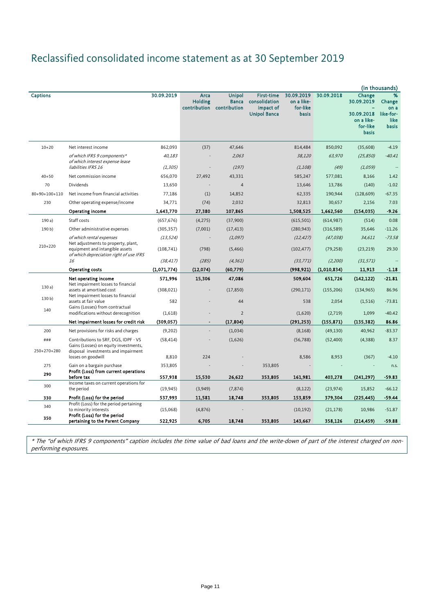# Reclassified consolidated income statement as at 30 September 2019

|                    |                                                                                                                      |             |                                               |                                               |                                                                        |                                                      |             |                                                                              | (in thousands)                                           |
|--------------------|----------------------------------------------------------------------------------------------------------------------|-------------|-----------------------------------------------|-----------------------------------------------|------------------------------------------------------------------------|------------------------------------------------------|-------------|------------------------------------------------------------------------------|----------------------------------------------------------|
| <b>Captions</b>    |                                                                                                                      | 30.09.2019  | <b>Arca</b><br><b>Holding</b><br>contribution | <b>Unipol</b><br><b>Banca</b><br>contribution | <b>First-time</b><br>consolidation<br>impact of<br><b>Unipol Banca</b> | 30.09.2019<br>on a like-<br>for-like<br><b>basis</b> | 30.09.2018  | Change<br>30.09.2019<br>30.09.2018<br>on a like-<br>for-like<br><b>basis</b> | %<br>Change<br>on a<br>like-for-<br>like<br><b>basis</b> |
| $10 + 20$          | Net interest income                                                                                                  | 862,093     | (37)                                          | 47,646                                        |                                                                        | 814,484                                              | 850,092     | (35,608)                                                                     | $-4.19$                                                  |
|                    | of which IFRS 9 components*<br>of which interest expense lease                                                       | 40,183      |                                               | 2,063                                         |                                                                        | 38,120                                               | 63,970      | (25, 850)                                                                    | $-40.41$                                                 |
|                    | liabilities IFRS 16                                                                                                  | (1, 305)    |                                               | (197)                                         |                                                                        | (1, 108)                                             | (49)        | (1,059)                                                                      |                                                          |
| $40 + 50$          | Net commission income                                                                                                | 656,070     | 27,492                                        | 43,331                                        |                                                                        | 585,247                                              | 577,081     | 8,166                                                                        | 1.42                                                     |
| 70                 | Dividends                                                                                                            | 13,650      | ٠                                             | $\overline{4}$                                |                                                                        | 13,646                                               | 13,786      | (140)                                                                        | $-1.02$                                                  |
| $80+90+100+110$    | Net income from financial activities                                                                                 | 77,186      | (1)                                           | 14,852                                        |                                                                        | 62,335                                               | 190,944     | (128, 609)                                                                   | $-67.35$                                                 |
| 230                | Other operating expense/income                                                                                       | 34,771      | (74)                                          | 2,032                                         |                                                                        | 32,813                                               | 30,657      | 2,156                                                                        | 7.03                                                     |
|                    | Operating income                                                                                                     | 1,643,770   | 27,380                                        | 107,865                                       |                                                                        | 1,508,525                                            | 1,662,560   | (154, 035)                                                                   | $-9.26$                                                  |
| 190a)              | Staff costs                                                                                                          | (657, 676)  | (4,275)                                       | (37,900)                                      |                                                                        | (615, 501)                                           | (614, 987)  | (514)                                                                        | 0.08                                                     |
| 190 b)             | Other administrative expenses                                                                                        | (305, 357)  | (7,001)                                       | (17, 413)                                     |                                                                        | (280, 943)                                           | (316,589)   | 35,646                                                                       | $-11.26$                                                 |
|                    | of which rental expenses                                                                                             | (13, 524)   |                                               | (1,097)                                       |                                                                        | (12, 427)                                            | (47, 038)   | 34,611                                                                       | $-73.58$                                                 |
| 210+220            | Net adjustments to property, plant,<br>equipment and intangible assets<br>of which depreciation right of use IFRS    | (108, 741)  | (798)                                         | (5,466)                                       |                                                                        | (102, 477)                                           | (79, 258)   | (23, 219)                                                                    | 29.30                                                    |
|                    | 16                                                                                                                   | (38, 417)   | (285)                                         | (4, 361)                                      |                                                                        | (33, 771)                                            | (2,200)     | (31, 571)                                                                    |                                                          |
|                    | Operating costs                                                                                                      | (1,071,774) | (12,074)                                      | (60, 779)                                     |                                                                        | (998, 921)                                           | (1,010,834) | 11,913                                                                       | $-1.18$                                                  |
|                    | Net operating income                                                                                                 | 571,996     | 15,306                                        | 47,086                                        |                                                                        | 509,604                                              | 651,726     | (142, 122)                                                                   | $-21.81$                                                 |
| 130a)              | Net impairment losses to financial<br>assets at amortised cost<br>Net impairment losses to financial                 | (308, 021)  |                                               | (17, 850)                                     |                                                                        | (290, 171)                                           | (155, 206)  | (134, 965)                                                                   | 86.96                                                    |
| 130 <sub>b</sub>   | assets at fair value                                                                                                 | 582         |                                               | 44                                            |                                                                        | 538                                                  | 2,054       | (1, 516)                                                                     | $-73.81$                                                 |
| 140                | Gains (Losses) from contractual<br>modifications without derecognition                                               | (1,618)     |                                               | $\overline{2}$                                |                                                                        | (1,620)                                              | (2,719)     | 1,099                                                                        | $-40.42$                                                 |
|                    | Net impairment losses for credit risk                                                                                | (309, 057)  |                                               | (17, 804)                                     |                                                                        | (291, 253)                                           | (155, 871)  | (135, 382)                                                                   | 86.86                                                    |
| 200                | Net provisions for risks and charges                                                                                 | (9,202)     |                                               | (1,034)                                       |                                                                        | (8, 168)                                             | (49, 130)   | 40,962                                                                       | $-83.37$                                                 |
| ###<br>250+270+280 | Contributions to SRF, DGS, IDPF - VS<br>Gains (Losses) on equity investments,<br>disposal investments and impairment | (58, 414)   |                                               | (1,626)                                       |                                                                        | (56, 788)                                            | (52,400)    | (4,388)                                                                      | 8.37                                                     |
|                    | losses on goodwill                                                                                                   | 8,810       | 224                                           |                                               |                                                                        | 8,586                                                | 8,953       | (367)                                                                        | $-4.10$                                                  |
| 275                | Gain on a bargain purchase                                                                                           | 353,805     |                                               |                                               | 353,805                                                                |                                                      |             |                                                                              | n.s.                                                     |
| 290                | Profit (Loss) from current operations                                                                                |             |                                               |                                               |                                                                        |                                                      |             |                                                                              |                                                          |
| 300                | before tax<br>Income taxes on current operations for                                                                 | 557,938     | 15,530                                        | 26,622                                        | 353,805                                                                | 161,981                                              | 403,278     | (241, 297)                                                                   | $-59.83$                                                 |
|                    | the period                                                                                                           | (19, 945)   | (3,949)                                       | (7, 874)                                      |                                                                        | (8, 122)                                             | (23, 974)   | 15,852                                                                       | $-66.12$                                                 |
| 330                | Profit (Loss) for the period                                                                                         | 537,993     | 11,581                                        | 18,748                                        | 353,805                                                                | 153,859                                              | 379,304     | (225, 445)                                                                   | $-59.44$                                                 |
| 340                | Profit (Loss) for the period pertaining<br>to minority interests<br>Profit (Loss) for the period                     | (15,068)    | (4, 876)                                      |                                               |                                                                        | (10, 192)                                            | (21, 178)   | 10,986                                                                       | $-51.87$                                                 |
| 350                | pertaining to the Parent Company                                                                                     | 522,925     | 6,705                                         | 18,748                                        | 353,805                                                                | 143,667                                              | 358,126     | (214, 459)                                                                   | -59.88                                                   |

\* The "of which IFRS 9 components" caption includes the time value of bad loans and the write-down of part of the interest charged on nonperforming exposures.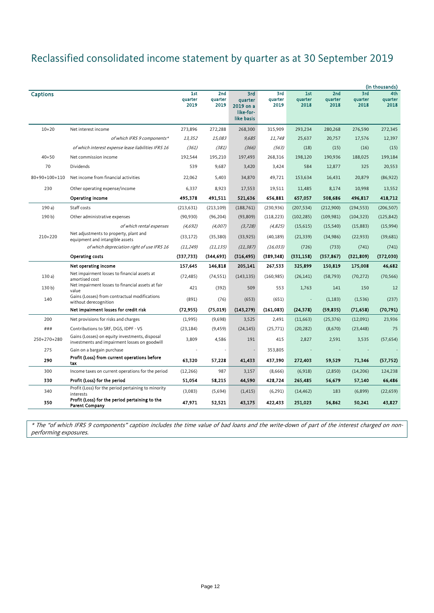# Reclassified consolidated income statement by quarter as at 30 September 2019

|                 |                                                                                                 |                        |                                    |                                                        |                        |                          |                        |                        | (in thousands)         |
|-----------------|-------------------------------------------------------------------------------------------------|------------------------|------------------------------------|--------------------------------------------------------|------------------------|--------------------------|------------------------|------------------------|------------------------|
| <b>Captions</b> |                                                                                                 | 1st<br>quarter<br>2019 | 2 <sub>nd</sub><br>quarter<br>2019 | 3rd<br>quarter<br>2019 on a<br>like-for-<br>like basis | 3rd<br>quarter<br>2019 | 1st<br>quarter<br>2018   | 2nd<br>quarter<br>2018 | 3rd<br>quarter<br>2018 | 4th<br>quarter<br>2018 |
| $10 + 20$       | Net interest income                                                                             | 273,896                | 272,288                            | 268,300                                                | 315,909                | 293,234                  | 280,268                | 276,590                | 272,345                |
|                 | of which IFRS 9 components*                                                                     | 13,352                 | 15,083                             | 9,685                                                  | 11,748                 | 25,637                   | 20,757                 | 17,576                 | 12,397                 |
|                 | of which interest expense lease liabilities IFRS 16                                             | (361)                  | (381)                              | (366)                                                  | (563)                  | (18)                     | (15)                   | (16)                   | (15)                   |
| $40 + 50$       | Net commission income                                                                           | 192,544                | 195,210                            | 197,493                                                | 268,316                | 198,120                  | 190,936                | 188,025                | 199,184                |
| 70              | <b>Dividends</b>                                                                                | 539                    | 9,687                              | 3,420                                                  | 3,424                  | 584                      | 12,877                 | 325                    | 20,553                 |
| 80+90+100+110   | Net income from financial activities                                                            | 22,062                 | 5,403                              | 34,870                                                 | 49,721                 | 153,634                  | 16,431                 | 20,879                 | (86, 922)              |
| 230             | Other operating expense/income                                                                  | 6,337                  | 8,923                              | 17,553                                                 | 19,511                 | 11,485                   | 8,174                  | 10,998                 | 13,552                 |
|                 | Operating income                                                                                | 495,378                | 491,511                            | 521,636                                                | 656,881                | 657,057                  | 508,686                | 496,817                | 418,712                |
| 190a)           | Staff costs                                                                                     | (213, 631)             | (213, 109)                         | (188, 761)                                             | (230, 936)             | (207, 534)               | (212,900)              | (194, 553)             | (206, 507)             |
| 190 b)          | Other administrative expenses                                                                   | (90, 930)              | (96, 204)                          | (93, 809)                                              | (118, 223)             | (102, 285)               | (109, 981)             | (104, 323)             | (125, 842)             |
|                 | of which rental expenses                                                                        | (4,692)                | (4,007)                            | (3, 728)                                               | (4,825)                | (15,615)                 | (15, 540)              | (15,883)               | (15,994)               |
| 210+220         | Net adjustments to property, plant and<br>equipment and intangible assets                       | (33, 172)              | (35, 380)                          | (33, 925)                                              | (40, 189)              | (21, 339)                | (34,986)               | (22, 933)              | (39,681)               |
|                 | of which depreciation right of use IFRS 16                                                      | (11, 249)              | (11, 135)                          | (11, 387)                                              | (16, 033)              | (726)                    | (733)                  | (741)                  | (741)                  |
|                 | <b>Operating costs</b>                                                                          | (337, 733)             | (344, 693)                         | (316, 495)                                             | (389, 348)             | (331, 158)               | (357, 867)             | (321, 809)             | (372,030)              |
|                 | Net operating income                                                                            | 157,645                | 146,818                            | 205,141                                                | 267,533                | 325,899                  | 150,819                | 175,008                | 46,682                 |
| 130a            | Net impairment losses to financial assets at<br>amortised cost                                  | (72, 485)              | (74, 551)                          | (143, 135)                                             | (160, 985)             | (26, 141)                | (58, 793)              | (70, 272)              | (70, 566)              |
| 130 b)          | Net impairment losses to financial assets at fair<br>value                                      | 421                    | (392)                              | 509                                                    | 553                    | 1,763                    | 141                    | 150                    | 12                     |
| 140             | Gains (Losses) from contractual modifications<br>without derecognition                          | (891)                  | (76)                               | (653)                                                  | (651)                  | $\overline{\phantom{a}}$ | (1, 183)               | (1,536)                | (237)                  |
|                 | Net impairment losses for credit risk                                                           | (72, 955)              | (75, 019)                          | (143, 279)                                             | (161,083)              | (24, 378)                | (59, 835)              | (71, 658)              | (70, 791)              |
| 200             | Net provisions for risks and charges                                                            | (1,995)                | (9,698)                            | 3,525                                                  | 2,491                  | (11, 663)                | (25, 376)              | (12,091)               | 23,936                 |
| ###             | Contributions to SRF, DGS, IDPF - VS                                                            | (23, 184)              | (9, 459)                           | (24, 145)                                              | (25, 771)              | (20, 282)                | (8,670)                | (23, 448)              | 75                     |
| 250+270+280     | Gains (Losses) on equity investments, disposal<br>investments and impairment losses on goodwill | 3,809                  | 4,586                              | 191                                                    | 415                    | 2,827                    | 2,591                  | 3,535                  | (57, 654)              |
| 275             | Gain on a bargain purchase                                                                      |                        |                                    |                                                        | 353,805                |                          |                        |                        |                        |
| 290             | Profit (Loss) from current operations before<br>tax                                             | 63,320                 | 57,228                             | 41,433                                                 | 437,390                | 272,403                  | 59,529                 | 71,346                 | (57, 752)              |
| 300             | Income taxes on current operations for the period                                               | (12, 266)              | 987                                | 3,157                                                  | (8,666)                | (6,918)                  | (2,850)                | (14, 206)              | 124,238                |
| 330             | Profit (Loss) for the period                                                                    | 51,054                 | 58,215                             | 44,590                                                 | 428,724                | 265,485                  | 56,679                 | 57,140                 | 66,486                 |
| 340             | Profit (Loss) for the period pertaining to minority<br>interests                                | (3,083)                | (5,694)                            | (1, 415)                                               | (6, 291)               | (14, 462)                | 183                    | (6,899)                | (22, 659)              |
| 350             | Profit (Loss) for the period pertaining to the<br><b>Parent Company</b>                         | 47,971                 | 52,521                             | 43,175                                                 | 422,433                | 251,023                  | 56,862                 | 50,241                 | 43,827                 |

<span id="page-11-0"></span>\* The "of which IFRS 9 components" caption includes the time value of bad loans and the write-down of part of the interest charged on nonperforming exposures.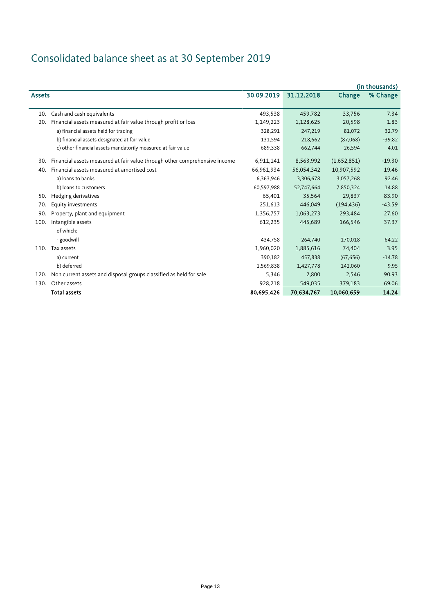# Consolidated balance sheet as at 30 September 2019

|               |                                                                            |            |            |             | (in thousands) |
|---------------|----------------------------------------------------------------------------|------------|------------|-------------|----------------|
| <b>Assets</b> |                                                                            | 30.09.2019 | 31.12.2018 | Change      | % Change       |
| 10.           | Cash and cash equivalents                                                  | 493,538    | 459,782    | 33,756      | 7.34           |
| 20.           | Financial assets measured at fair value through profit or loss             | 1,149,223  | 1,128,625  | 20,598      | 1.83           |
|               | a) financial assets held for trading                                       | 328,291    | 247,219    | 81,072      | 32.79          |
|               | b) financial assets designated at fair value                               | 131,594    | 218,662    | (87,068)    | $-39.82$       |
|               | c) other financial assets mandatorily measured at fair value               | 689,338    | 662,744    | 26,594      | 4.01           |
| 30.           | Financial assets measured at fair value through other comprehensive income | 6,911,141  | 8,563,992  | (1,652,851) | $-19.30$       |
| 40.           | Financial assets measured at amortised cost                                | 66,961,934 | 56,054,342 | 10,907,592  | 19.46          |
|               | a) loans to banks                                                          | 6,363,946  | 3,306,678  | 3,057,268   | 92.46          |
|               | b) loans to customers                                                      | 60,597,988 | 52,747,664 | 7,850,324   | 14.88          |
| 50.           | Hedging derivatives                                                        | 65,401     | 35,564     | 29,837      | 83.90          |
| 70.           | Equity investments                                                         | 251,613    | 446,049    | (194, 436)  | $-43.59$       |
| 90.           | Property, plant and equipment                                              | 1,356,757  | 1,063,273  | 293,484     | 27.60          |
| 100.          | Intangible assets                                                          | 612,235    | 445,689    | 166,546     | 37.37          |
|               | of which:                                                                  |            |            |             |                |
|               | - goodwill                                                                 | 434,758    | 264,740    | 170,018     | 64.22          |
| 110.          | Tax assets                                                                 | 1,960,020  | 1,885,616  | 74,404      | 3.95           |
|               | a) current                                                                 | 390,182    | 457,838    | (67, 656)   | $-14.78$       |
|               | b) deferred                                                                | 1,569,838  | 1,427,778  | 142,060     | 9.95           |
| 120.          | Non current assets and disposal groups classified as held for sale         | 5,346      | 2,800      | 2,546       | 90.93          |
| 130.          | Other assets                                                               | 928,218    | 549,035    | 379,183     | 69.06          |
|               | <b>Total assets</b>                                                        | 80,695,426 | 70,634,767 | 10,060,659  | 14.24          |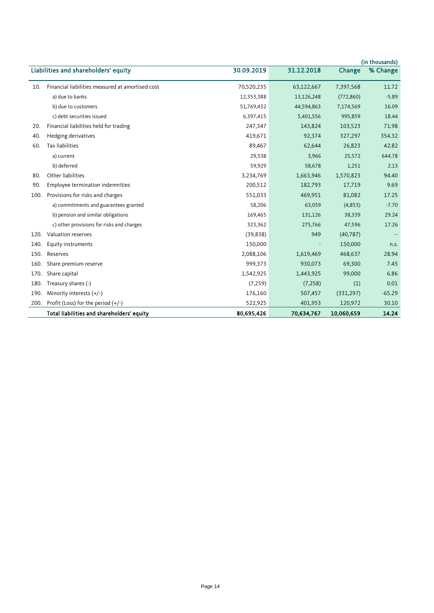|      |                                                  |            |            |            | (in thousands) |
|------|--------------------------------------------------|------------|------------|------------|----------------|
|      | Liabilities and shareholders' equity             | 30.09.2019 | 31.12.2018 | Change     | % Change       |
| 10.  | Financial liabilities measured at amortised cost | 70,520,235 | 63,122,667 | 7,397,568  | 11.72          |
|      | a) due to banks                                  | 12,353,388 | 13,126,248 | (772,860)  | $-5.89$        |
|      | b) due to customers                              | 51,769,432 | 44,594,863 | 7,174,569  | 16.09          |
|      | c) debt securities issued                        | 6,397,415  | 5,401,556  | 995,859    | 18.44          |
| 20.  | Financial liabilities held for trading           | 247,347    | 143,824    | 103,523    | 71.98          |
| 40.  | Hedging derivatives                              | 419,671    | 92,374     | 327,297    | 354.32         |
| 60.  | Tax liabilities                                  | 89,467     | 62,644     | 26,823     | 42.82          |
|      | a) current                                       | 29,538     | 3,966      | 25,572     | 644.78         |
|      | b) deferred                                      | 59,929     | 58,678     | 1,251      | 2.13           |
| 80.  | Other liabilities                                | 3,234,769  | 1,663,946  | 1,570,823  | 94.40          |
| 90.  | Employee termination indemnities                 | 200,512    | 182,793    | 17,719     | 9.69           |
| 100. | Provisions for risks and charges                 | 551,033    | 469,951    | 81,082     | 17.25          |
|      | a) commitments and guarantees granted            | 58,206     | 63,059     | (4,853)    | $-7.70$        |
|      | b) pension and similar obligations               | 169,465    | 131,126    | 38,339     | 29.24          |
|      | c) other provisions for risks and charges        | 323,362    | 275,766    | 47,596     | 17.26          |
| 120. | Valuation reserves                               | (39, 838)  | 949        | (40, 787)  |                |
| 140. | Equity instruments                               | 150,000    |            | 150,000    | n.s.           |
| 150. | Reserves                                         | 2,088,106  | 1,619,469  | 468,637    | 28.94          |
| 160. | Share premium reserve                            | 999,373    | 930,073    | 69,300     | 7.45           |
| 170. | Share capital                                    | 1,542,925  | 1,443,925  | 99,000     | 6.86           |
| 180. | Treasury shares (-)                              | (7, 259)   | (7, 258)   | (1)        | 0.01           |
| 190. | Minority interests $(+/-)$                       | 176,160    | 507,457    | (331, 297) | $-65.29$       |
| 200. | Profit (Loss) for the period $(+/-)$             | 522,925    | 401,953    | 120,972    | 30.10          |
|      | Total liabilities and shareholders' equity       | 80,695,426 | 70,634,767 | 10,060,659 | 14.24          |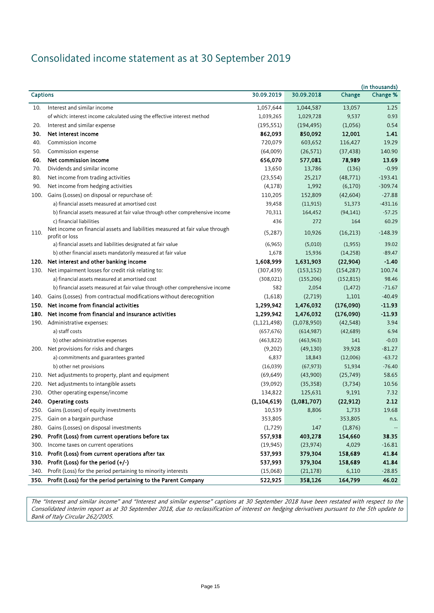## Consolidated income statement as at 30 September 2019

|                 |                                                                                                 |               |             |            | (in thousands) |
|-----------------|-------------------------------------------------------------------------------------------------|---------------|-------------|------------|----------------|
| <b>Captions</b> |                                                                                                 | 30.09.2019    | 30.09.2018  | Change     | Change %       |
| 10.             | Interest and similar income                                                                     | 1,057,644     | 1,044,587   | 13,057     | 1.25           |
|                 | of which: interest income calculated using the effective interest method                        | 1,039,265     | 1,029,728   | 9,537      | 0.93           |
| 20.             | Interest and similar expense                                                                    | (195, 551)    | (194, 495)  | (1,056)    | 0.54           |
| 30.             | Net interest income                                                                             | 862,093       | 850,092     | 12,001     | 1.41           |
| 40.             | Commission income                                                                               | 720,079       | 603,652     | 116,427    | 19.29          |
| 50.             | Commission expense                                                                              | (64,009)      | (26, 571)   | (37, 438)  | 140.90         |
| 60.             | Net commission income                                                                           | 656,070       | 577,081     | 78,989     | 13.69          |
| 70.             | Dividends and similar income                                                                    | 13,650        | 13,786      | (136)      | $-0.99$        |
| 80.             | Net income from trading activities                                                              | (23, 554)     | 25,217      | (48, 771)  | $-193.41$      |
| 90.             | Net income from hedging activities                                                              | (4, 178)      | 1,992       | (6,170)    | $-309.74$      |
|                 | 100. Gains (Losses) on disposal or repurchase of:                                               | 110,205       | 152,809     | (42, 604)  | $-27.88$       |
|                 | a) financial assets measured at amortised cost                                                  | 39,458        | (11, 915)   | 51,373     | $-431.16$      |
|                 | b) financial assets measured at fair value through other comprehensive income                   | 70,311        | 164,452     | (94, 141)  | $-57.25$       |
|                 | c) financial liabilities                                                                        | 436           | 272         | 164        | 60.29          |
| 110.            | Net income on financial assets and liabilities measured at fair value through<br>profit or loss | (5, 287)      | 10,926      | (16, 213)  | $-148.39$      |
|                 | a) financial assets and liabilities designated at fair value                                    | (6,965)       | (5,010)     | (1,955)    | 39.02          |
|                 | b) other financial assets mandatorily measured at fair value                                    | 1,678         | 15,936      | (14, 258)  | $-89.47$       |
| 120.            | Net interest and other banking income                                                           | 1,608,999     | 1,631,903   | (22, 904)  | $-1.40$        |
| 130.            | Net impairment losses for credit risk relating to:                                              | (307, 439)    | (153, 152)  | (154, 287) | 100.74         |
|                 | a) financial assets measured at amortised cost                                                  | (308, 021)    | (155, 206)  | (152, 815) | 98.46          |
|                 | b) financial assets measured at fair value through other comprehensive income                   | 582           | 2,054       | (1, 472)   | $-71.67$       |
| 140.            | Gains (Losses) from contractual modifications without derecognition                             | (1,618)       | (2,719)     | 1,101      | $-40.49$       |
| 150.            | Net income from financial activities                                                            | 1,299,942     | 1,476,032   | (176,090)  | $-11.93$       |
| 180.            | Net income from financial and insurance activities                                              | 1,299,942     | 1,476,032   | (176,090)  | $-11.93$       |
| 190.            | Administrative expenses:                                                                        | (1, 121, 498) | (1,078,950) | (42, 548)  | 3.94           |
|                 | a) staff costs                                                                                  | (657, 676)    | (614,987)   | (42, 689)  | 6.94           |
|                 | b) other administrative expenses                                                                | (463, 822)    | (463, 963)  | 141        | $-0.03$        |
|                 | 200. Net provisions for risks and charges                                                       | (9,202)       | (49, 130)   | 39,928     | $-81.27$       |
|                 | a) commitments and guarantees granted                                                           | 6,837         | 18,843      | (12,006)   | $-63.72$       |
|                 | b) other net provisions                                                                         | (16,039)      | (67, 973)   | 51,934     | $-76.40$       |
| 210.            | Net adjustments to property, plant and equipment                                                | (69, 649)     | (43,900)    | (25, 749)  | 58.65          |
| 220.            | Net adjustments to intangible assets                                                            | (39,092)      | (35, 358)   | (3,734)    | 10.56          |
| 230.            | Other operating expense/income                                                                  | 134,822       | 125,631     | 9,191      | 7.32           |
|                 | 240. Operating costs                                                                            | (1, 104, 619) | (1,081,707) | (22, 912)  | 2.12           |
| 250.            | Gains (Losses) of equity investments                                                            | 10,539        | 8,806       | 1,733      | 19.68          |
|                 | 275. Gain on a bargain purchase                                                                 | 353,805       |             | 353,805    | n.s.           |
| 280.            | Gains (Losses) on disposal investments                                                          | (1,729)       | 147         | (1,876)    |                |
| 290.            | Profit (Loss) from current operations before tax                                                | 557,938       | 403,278     | 154,660    | 38.35          |
| 300.            | Income taxes on current operations                                                              | (19, 945)     | (23, 974)   | 4,029      | $-16.81$       |
| 310.            | Profit (Loss) from current operations after tax                                                 | 537,993       | 379,304     | 158,689    | 41.84          |
| 330.            | Profit (Loss) for the period $(+/-)$                                                            | 537,993       | 379,304     | 158,689    | 41.84          |
| 340.            | Profit (Loss) for the period pertaining to minority interests                                   | (15,068)      | (21, 178)   | 6,110      | $-28.85$       |
| 350.            | Profit (Loss) for the period pertaining to the Parent Company                                   | 522,925       | 358,126     | 164,799    | 46.02          |

The "Interest and similar income" and "Interest and similar expense" captions at 30 September 2018 have been restated with respect to the Consolidated interim report as at 30 September 2018, due to reclassification of interest on hedging derivatives pursuant to the 5th update to Bank of Italy Circular 262/2005.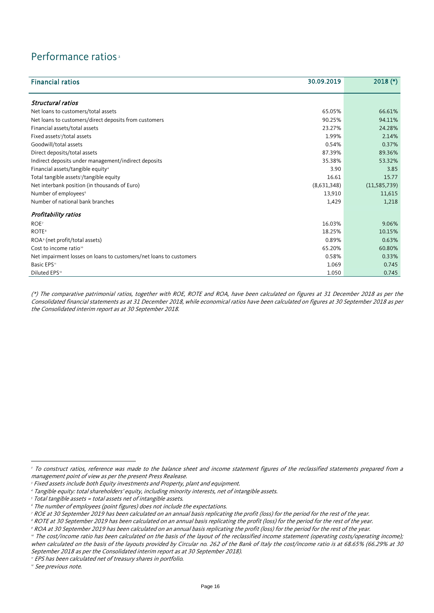### Performance ratios<sup>[2](#page-8-0)</sup>

| <b>Financial ratios</b>                                            | 30.09.2019  | $2018$ (*)     |
|--------------------------------------------------------------------|-------------|----------------|
|                                                                    |             |                |
| Structural ratios                                                  |             |                |
| Net loans to customers/total assets                                | 65.05%      | 66.61%         |
| Net loans to customers/direct deposits from customers              | 90.25%      | 94.11%         |
| Financial assets/total assets                                      | 23.27%      | 24.28%         |
| Fixed assets <sup>3</sup> /total assets                            | 1.99%       | 2.14%          |
| Goodwill/total assets                                              | 0.54%       | 0.37%          |
| Direct deposits/total assets                                       | 87.39%      | 89.36%         |
| Indirect deposits under management/indirect deposits               | 35.38%      | 53.32%         |
| Financial assets/tangible equity <sup>4</sup>                      | 3.90        | 3.85           |
| Total tangible assets <sup>5</sup> /tangible equity                | 16.61       | 15.77          |
| Net interbank position (in thousands of Euro)                      | (8,631,348) | (11, 585, 739) |
| Number of employees <sup>6</sup>                                   | 13,910      | 11,615         |
| Number of national bank branches                                   | 1,429       | 1,218          |
| Profitability ratios                                               |             |                |
| ROE <sup>7</sup>                                                   | 16.03%      | 9.06%          |
| <b>ROTE</b> <sup>8</sup>                                           | 18.25%      | 10.15%         |
| ROA <sup>9</sup> (net profit/total assets)                         | 0.89%       | 0.63%          |
| Cost to income ratio <sup>®</sup>                                  | 65.20%      | 60.80%         |
| Net impairment losses on loans to customers/net loans to customers | 0.58%       | 0.33%          |
| Basic EPS"                                                         | 1.069       | 0.745          |
| Diluted EPS <sup>12</sup>                                          | 1.050       | 0.745          |

(\*) The comparative patrimonial ratios, together with ROE, ROTE and ROA, have been calculated on figures at 31 December 2018 as per the Consolidated financial statements as at 31 December 2018, while economical ratios have been calculated on figures at 30 September 2018 as per the Consolidated interim report as at 30 September 2018.

<span id="page-15-9"></span><sup>12</sup> See previous note.

 $\overline{a}$ 

<sup>&</sup>lt;sup>2</sup> To construct ratios, reference was made to the balance sheet and income statement figures of the reclassified statements prepared from a management point of view as per the present Press Realease.

<span id="page-15-0"></span><sup>&</sup>lt;sup>3</sup> Fixed assets include both Equity investments and Property, plant and equipment.

<span id="page-15-1"></span><sup>4</sup> Tangible equity: total shareholders' equity, including minority interests, net of intangible assets.

<span id="page-15-2"></span><sup>5</sup> Total tangible assets = total assets net of intangible assets.

<span id="page-15-3"></span><sup>6</sup> The number of employees (point figures) does not include the expectations.

<span id="page-15-4"></span><sup>7</sup> ROE at 30 September 2019 has been calculated on an annual basis replicating the profit (loss) for the period for the rest of the year.

<span id="page-15-5"></span>**<sup>8</sup> ROTE at 30 September 2019 has been calculated on an annual basis replicating the profit (loss) for the period for the rest of the year.** 

<span id="page-15-6"></span><sup>9</sup> ROA at 30 September 2019 has been calculated on an annual basis replicating the profit (loss) for the period for the rest of the year.

<span id="page-15-7"></span><sup>&</sup>lt;sup>10</sup> The cost/income ratio has been calculated on the basis of the layout of the reclassified income statement (operating costs/operating income); when calculated on the basis of the layouts provided by Circular no. 262 of the Bank of Italy the cost/income ratio is at 68.65% (66.29% at 30 September 2018 as per the Consolidated interim report as at 30 September 2018).

<span id="page-15-8"></span><sup>&</sup>quot; EPS has been calculated net of treasury shares in portfolio.